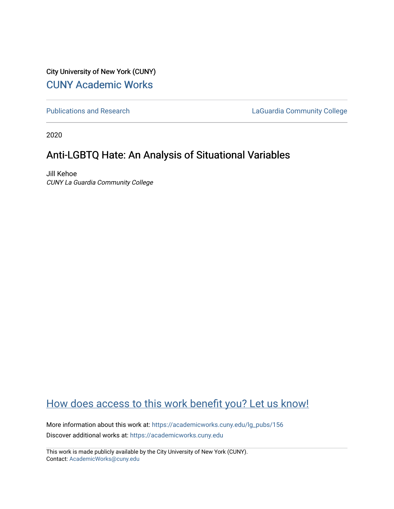City University of New York (CUNY) [CUNY Academic Works](https://academicworks.cuny.edu/) 

[Publications and Research](https://academicworks.cuny.edu/lg_pubs) **LaGuardia Community College** 

2020

# Anti-LGBTQ Hate: An Analysis of Situational Variables

Jill Kehoe CUNY La Guardia Community College

# [How does access to this work benefit you? Let us know!](http://ols.cuny.edu/academicworks/?ref=https://academicworks.cuny.edu/lg_pubs/156)

More information about this work at: [https://academicworks.cuny.edu/lg\\_pubs/156](https://academicworks.cuny.edu/lg_pubs/156)  Discover additional works at: [https://academicworks.cuny.edu](https://academicworks.cuny.edu/?)

This work is made publicly available by the City University of New York (CUNY). Contact: [AcademicWorks@cuny.edu](mailto:AcademicWorks@cuny.edu)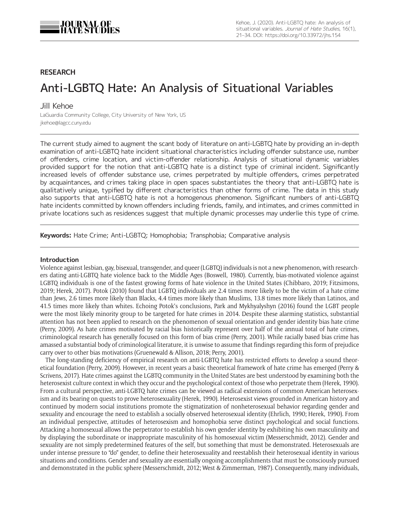

# **RESEARCH**

# Anti-LGBTQ Hate: An Analysis of Situational Variables

# Jill Kehoe

LaGuardia Community College, City University of New York, US [jkehoe@lagcc.cuny.edu](mailto:jkehoe@lagcc.cuny.edu)

The current study aimed to augment the scant body of literature on anti-LGBTQ hate by providing an in-depth examination of anti-LGBTQ hate incident situational characteristics including offender substance use, number of offenders, crime location, and victim-offender relationship. Analysis of situational dynamic variables provided support for the notion that anti-LGBTQ hate is a distinct type of criminal incident. Significantly increased levels of offender substance use, crimes perpetrated by multiple offenders, crimes perpetrated by acquaintances, and crimes taking place in open spaces substantiates the theory that anti-LGBTQ hate is qualitatively unique, typified by different characteristics than other forms of crime. The data in this study also supports that anti-LGBTQ hate is not a homogenous phenomenon. Significant numbers of anti-LGBTQ hate incidents committed by known offenders including friends, family, and intimates, and crimes committed in private locations such as residences suggest that multiple dynamic processes may underlie this type of crime.

**Keywords:** Hate Crime; Anti-LGBTQ; Homophobia; Transphobia; Comparative analysis

#### **Introduction**

Violence against lesbian, gay, bisexual, transgender, and queer (LGBTQ) individuals is not a new phenomenon, with researchers dating anti-LGBTQ hate violence back to the Middle Ages (Boswell, 1980). Currently, bias-motivated violence against LGBTQ individuals is one of the fastest growing forms of hate violence in the United States (Chibbaro, 2019; Fitzsimons, 2019; Herek, 2017). Potok (2010) found that LGBTQ individuals are 2.4 times more likely to be the victim of a hate crime than Jews, 2.6 times more likely than Blacks, 4.4 times more likely than Muslims, 13.8 times more likely than Latinos, and 41.5 times more likely than whites. Echoing Potok's conclusions, Park and Mykhyalyshyn (2016) found the LGBT people were the most likely minority group to be targeted for hate crimes in 2014. Despite these alarming statistics, substantial attention has not been applied to research on the phenomenon of sexual orientation and gender identity bias hate crime (Perry, 2009). As hate crimes motivated by racial bias historically represent over half of the annual total of hate crimes, criminological research has generally focused on this form of bias crime (Perry, 2001). While racially based bias crime has amassed a substantial body of criminological literature, it is unwise to assume that findings regarding this form of prejudice carry over to other bias motivations (Gruenewald & Allison, 2018; Perry, 2001).

The long-standing deficiency of empirical research on anti-LGBTQ hate has restricted efforts to develop a sound theoretical foundation (Perry, 2009). However, in recent years a basic theoretical framework of hate crime has emerged (Perry & Scrivens, 2017). Hate crimes against the LGBTQ community in the United States are best understood by examining both the heterosexist culture context in which they occur and the psychological context of those who perpetrate them (Herek, 1990). From a cultural perspective, anti-LGBTQ hate crimes can be viewed as radical extensions of common American heterosexism and its bearing on quests to prove heterosexuality (Herek, 1990). Heterosexist views grounded in American history and continued by modern social institutions promote the stigmatization of nonheterosexual behavior regarding gender and sexuality and encourage the need to establish a socially observed heterosexual identity (Ehrlich, 1990; Herek, 1990). From an individual perspective, attitudes of heterosexism and homophobia serve distinct psychological and social functions. Attacking a homosexual allows the perpetrator to establish his own gender identity by exhibiting his own masculinity and by displaying the subordinate or inappropriate masculinity of his homosexual victim (Messerschmidt, 2012). Gender and sexuality are not simply predetermined features of the self, but something that must be demonstrated. Heterosexuals are under intense pressure to "do" gender, to define their heterosexuality and reestablish their heterosexual identity in various situations and conditions. Gender and sexuality are essentially ongoing accomplishments that must be consciously pursued and demonstrated in the public sphere (Messerschmidt, 2012; West & Zimmerman, 1987). Consequently, many individuals,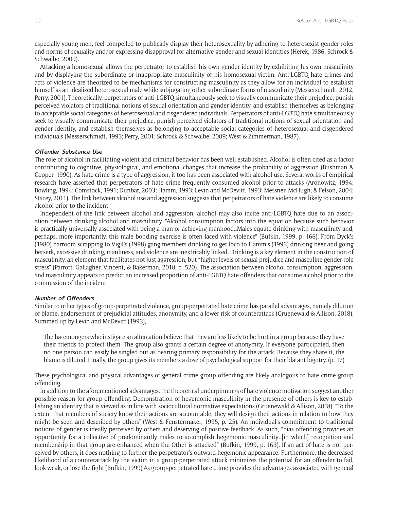especially young men, feel compelled to publically display their heterosexuality by adhering to heterosexist gender roles and norms of sexuality and/or expressing disapproval for alternative gender and sexual identities (Herek, 1986, Schrock & Schwalbe, 2009).

Attacking a homosexual allows the perpetrator to establish his own gender identity by exhibiting his own masculinity and by displaying the subordinate or inappropriate masculinity of his homosexual victim. Anti-LGBTQ hate crimes and acts of violence are theorized to be mechanisms for constructing masculinity as they allow for an individual to establish himself as an idealized heterosexual male while subjugating other subordinate forms of masculinity (Messerschmidt, 2012; Perry, 2001). Theoretically, perpetrators of anti-LGBTQ simultaneously seek to visually communicate their prejudice, punish perceived violators of traditional notions of sexual orientation and gender identity, and establish themselves as belonging to acceptable social categories of heterosexual and cisgendered individuals. Perpetrators of anti-LGBTQ hate simultaneously seek to visually communicate their prejudice, punish perceived violators of traditional notions of sexual orientation and gender identity, and establish themselves as belonging to acceptable social categories of heterosexual and cisgendered individuals (Messerschmidt, 1993; Perry, 2001; Schrock & Schwalbe, 2009; West & Zimmerman, 1987).

#### **Offender Substance Use**

The role of alcohol in facilitating violent and criminal behavior has been well established. Alcohol is often cited as a factor contributing to cognitive, physiological, and emotional changes that increase the probability of aggression (Bushman & Cooper, 1990). As hate crime is a type of aggression, it too has been associated with alcohol use. Several works of empirical research have asserted that perpetrators of hate crime frequently consumed alcohol prior to attacks (Aronowitz, 1994; Bowling, 1994; Comstock, 1991; Dunbar, 2003; Hamm, 1993; Levin and McDevitt, 1993; Messner, McHugh, & Felson, 2004; Stacey, 2011). The link between alcohol use and aggression suggests that perpetrators of hate violence are likely to consume alcohol prior to the incident.

Independent of the link between alcohol and aggression, alcohol may also incite anti-LGBTQ hate due to an association between drinking alcohol and masculinity. "Alcohol consumption factors into the equation because such behavior is practically universally associated with being a man or achieving manhood…Males equate drinking with masculinity and, perhaps, more importantly, this male bonding exercise is often laced with violence" (Bufkin, 1999, p. 166). From Dyck's (1980) barroom scrapping to Vigil's (1998) gang members drinking to get loco to Hamm's (1993) drinking beer and going berserk, excessive drinking, manliness, and violence are inextricably linked. Drinking is a key element in the construction of masculinity, an element that facilitates not just aggression, but "higher levels of sexual prejudice and masculine gender role stress" (Parrott, Gallagher, Vincent, & Bakerman, 2010, p. 520). The association between alcohol consumption, aggression, and masculinity appears to predict an increased proportion of anti-LGBTQ hate offenders that consume alcohol prior to the commission of the incident.

#### **Number of Offenders**

Similar to other types of group-perpetrated violence, group-perpetrated hate crime has parallel advantages, namely dilution of blame, endorsement of prejudicial attitudes, anonymity, and a lower risk of counterattack (Gruenewald & Allison, 2018). Summed up by Levin and McDevitt (1993),

The hatemongers who instigate an altercation believe that they are less likely to be hurt in a group because they have their friends to protect them. The group also grants a certain degree of anonymity. If everyone participated, then no one person can easily be singled out as bearing primary responsibility for the attack. Because they share it, the blame is diluted. Finally, the group gives its members a dose of psychological support for their blatant bigotry. (p. 17)

These psychological and physical advantages of general crime group offending are likely analogous to hate crime group offending.

In addition to the aforementioned advantages, the theoretical underpinnings of hate violence motivation suggest another possible reason for group offending. Demonstration of hegemonic masculinity in the presence of others is key to establishing an identity that is viewed as in line with sociocultural normative expectations (Gruenewald & Allison, 2018). "To the extent that members of society know their actions are accountable, they will design their actions in relation to how they might be seen and described by others" (West & Fenstermaker, 1995, p. 25). An individual's commitment to traditional notions of gender is ideally perceived by others and deserving of positive feedback. As such, "bias offending provides an opportunity for a collective of predominantly males to accomplish hegemonic masculinity…[in which] recognition and membership in that group are enhanced when the Other is attacked" (Bufkin, 1999, p. 163). If an act of hate is not perceived by others, it does nothing to further the perpetrator's outward hegemonic appearance. Furthermore, the decreased likelihood of a counterattack by the victim in a group-perpetrated attack minimizes the potential for an offender to fail, look weak, or lose the fight (Bufkin, 1999) As group-perpetrated hate crime provides the advantages associated with general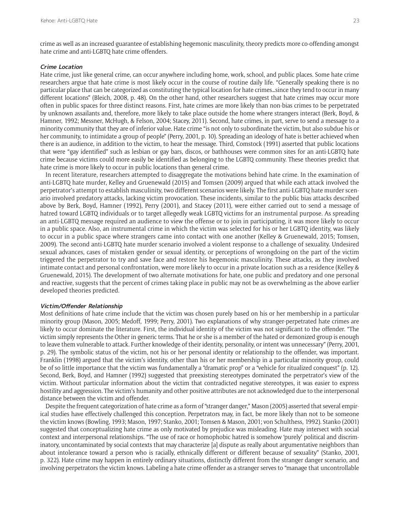crime as well as an increased guarantee of establishing hegemonic masculinity, theory predicts more co-offending amongst hate crime and anti-LGBTQ hate crime offenders.

#### **Crime Location**

Hate crime, just like general crime, can occur anywhere including home, work, school, and public places. Some hate crime researchers argue that hate crime is most likely occur in the course of routine daily life. "Generally speaking there is no particular place that can be categorized as constituting the typical location for hate crimes…since they tend to occur in many different locations" (Bleich, 2008, p. 48). On the other hand, other researchers suggest that hate crimes may occur more often in public spaces for three distinct reasons. First, hate crimes are more likely than non-bias crimes to be perpetrated by unknown assailants and, therefore, more likely to take place outside the home where strangers interact (Berk, Boyd, & Hamner, 1992; Messner, McHugh, & Felson, 2004; Stacey, 2011). Second, hate crimes, in part, serve to send a message to a minority community that they are of inferior value. Hate crime "is not only to subordinate the victim, but also subdue his or her community, to intimidate a group of people" (Perry, 2001, p. 10). Spreading an ideology of hate is better achieved when there is an audience, in addition to the victim, to hear the message. Third, Comstock (1991) asserted that public locations that were "gay identified" such as lesbian or gay bars, discos, or bathhouses were common sites for an anti-LGBTQ hate crime because victims could more easily be identified as belonging to the LGBTQ community. These theories predict that hate crime is more likely to occur in public locations than general crime.

In recent literature, researchers attempted to disaggregate the motivations behind hate crime. In the examination of anti-LGBTQ hate murder, Kelley and Gruenewald (2015) and Tomsen (2009) argued that while each attack involved the perpetrator's attempt to establish masculinity, two different scenarios were likely. The first anti-LGBTQ hate murder scenario involved predatory attacks, lacking victim provocation. These incidents, similar to the public bias attacks described above by Berk, Boyd, Hamner (1992), Perry (2001), and Stacey (2011), were either carried out to send a message of hatred toward LGBTQ individuals or to target allegedly weak LGBTQ victims for an instrumental purpose. As spreading an anti-LGBTQ message required an audience to view the offense or to join in participating, it was more likely to occur in a public space. Also, an instrumental crime in which the victim was selected for his or her LGBTQ identity, was likely to occur in a public space where strangers came into contact with one another (Kelley & Gruenewald, 2015; Tomsen, 2009). The second anti-LGBTQ hate murder scenario involved a violent response to a challenge of sexuality. Undesired sexual advances, cases of mistaken gender or sexual identity, or perceptions of wrongdoing on the part of the victim triggered the perpetrator to try and save face and restore his hegemonic masculinity. These attacks, as they involved intimate contact and personal confrontation, were more likely to occur in a private location such as a residence (Kelley & Gruenewald, 2015). The development of two alternate motivations for hate, one public and predatory and one personal and reactive, suggests that the percent of crimes taking place in public may not be as overwhelming as the above earlier developed theories predicted.

#### **Victim/Offender Relationship**

Most definitions of hate crime include that the victim was chosen purely based on his or her membership in a particular minority group (Mason, 2005; Medoff, 1999; Perry, 2001). Two explanations of why stranger-perpetrated hate crimes are likely to occur dominate the literature. First, the individual identity of the victim was not significant to the offender. "The victim simply represents the Other in generic terms. That he or she is a member of the hated or demonized group is enough to leave them vulnerable to attack. Further knowledge of their identity, personality, or intent was unnecessary" (Perry, 2001, p. 29). The symbolic status of the victim, not his or her personal identity or relationship to the offender, was important. Franklin (1998) argued that the victim's identity, other than his or her membership in a particular minority group, could be of so little importance that the victim was fundamentally a "dramatic prop" or a "vehicle for ritualized conquest" (p. 12). Second, Berk, Boyd, and Hamner (1992) suggested that preexisting stereotypes dominated the perpetrator's view of the victim. Without particular information about the victim that contradicted negative stereotypes, it was easier to express hostility and aggression. The victim's humanity and other positive attributes are not acknowledged due to the interpersonal distance between the victim and offender.

Despite the frequent categorization of hate crime as a form of "stranger danger," Mason (2005) asserted that several empirical studies have effectively challenged this conception. Perpetrators may, in fact, be more likely than not to be someone the victim knows (Bowling, 1993; Mason, 1997; Stanko, 2001; Tomsen & Mason, 2001; von Schulthess, 1992). Stanko (2001) suggested that conceptualizing hate crime as only motivated by prejudice was misleading. Hate may intersect with social context and interpersonal relationships. "The use of race or homophobic hatred is somehow 'purely' political and discriminatory, uncontaminated by social contexts that may characterize [a] dispute as really about argumentative neighbors than about intolerance toward a person who is racially, ethnically different or different because of sexuality" (Stanko, 2001, p. 322). Hate crime may happen in entirely ordinary situations, distinctly different from the stranger danger scenario, and involving perpetrators the victim knows. Labeling a hate crime offender as a stranger serves to "manage that uncontrollable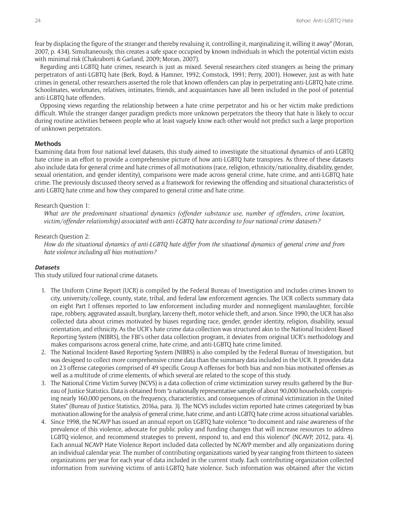fear by displacing the figure of the stranger and thereby revaluing it, controlling it, marginalizing it, willing it away" (Moran, 2007, p. 434). Simultaneously, this creates a safe space occupied by known individuals in which the potential victim exists with minimal risk (Chakraborti & Garland, 2009; Moran, 2007).

Regarding anti-LGBTQ hate crimes, research is just as mixed. Several researchers cited strangers as being the primary perpetrators of anti-LGBTQ hate (Berk, Boyd, & Hamner, 1992; Comstock, 1991; Perry, 2001). However, just as with hate crimes in general, other researchers asserted the role that known offenders can play in perpetrating anti-LGBTQ hate crime. Schoolmates, workmates, relatives, intimates, friends, and acquaintances have all been included in the pool of potential anti-LGBTQ hate offenders.

Opposing views regarding the relationship between a hate crime perpetrator and his or her victim make predictions difficult. While the stranger danger paradigm predicts more unknown perpetrators the theory that hate is likely to occur during routine activities between people who at least vaguely know each other would not predict such a large proportion of unknown perpetrators.

#### **Methods**

Examining data from four national level datasets, this study aimed to investigate the situational dynamics of anti-LGBTQ hate crime in an effort to provide a comprehensive picture of how anti-LGBTQ hate transpires. As three of these datasets also include data for general crime and hate crimes of all motivations (race, religion, ethnicity/nationality, disability, gender, sexual orientation, and gender identity), comparisons were made across general crime, hate crime, and anti-LGBTQ hate crime. The previously discussed theory served as a framework for reviewing the offending and situational characteristics of anti-LGBTQ hate crime and how they compared to general crime and hate crime.

#### Research Question 1:

*What are the predominant situational dynamics (offender substance use, number of offenders, crime location, victim/offender relationship) associated with anti-LGBTQ hate according to four national crime datasets?*

#### Research Question 2:

*How do the situational dynamics of anti-LGBTQ hate differ from the situational dynamics of general crime and from hate violence including all bias motivations?*

#### **Datasets**

This study utilized four national crime datasets.

- 1. The Uniform Crime Report (UCR) is compiled by the Federal Bureau of Investigation and includes crimes known to city, university/college, county, state, tribal, and federal law enforcement agencies. The UCR collects summary data on eight Part I offenses reported to law enforcement including murder and nonnegligent manslaughter, forcible rape, robbery, aggravated assault, burglary, larceny-theft, motor vehicle theft, and arson. Since 1990, the UCR has also collected data about crimes motivated by biases regarding race, gender, gender identity, religion, disability, sexual orientation, and ethnicity. As the UCR's hate crime data collection was structured akin to the National Incident-Based Reporting System (NIBRS), the FBI's other data collection program, it deviates from original UCR's methodology and makes comparisons across general crime, hate crime, and anti-LGBTQ hate crime limited.
- 2. The National Incident-Based Reporting System (NIBRS) is also compiled by the Federal Bureau of Investigation, but was designed to collect more comprehensive crime data than the summary data included in the UCR. It provides data on 23 offense categories comprised of 49 specific Group A offenses for both bias and non-bias motivated offenses as well as a multitude of crime elements, of which several are related to the scope of this study.
- 3. The National Crime Victim Survey (NCVS) is a data collection of crime victimization survey results gathered by the Bureau of Justice Statistics. Data is obtained from "a nationally representative sample of about 90,000 households, comprising nearly 160,000 persons, on the frequency, characteristics, and consequences of criminal victimization in the United States" (Bureau of Justice Statistics, 2016a, para. 3). The NCVS includes victim reported hate crimes categorized by bias motivation allowing for the analysis of general crime, hate crime, and anti-LGBTQ hate crime across situational variables.
- 4. Since 1998, the NCAVP has issued an annual report on LGBTQ hate violence "to document and raise awareness of the prevalence of this violence, advocate for public policy and funding changes that will increase resources to address LGBTQ violence, and recommend strategies to prevent, respond to, and end this violence" (NCAVP, 2012, para. 4). Each annual NCAVP Hate Violence Report included data collected by NCAVP member and ally organizations during an individual calendar year. The number of contributing organizations varied by year ranging from thirteen to sixteen organizations per year for each year of data included in the current study. Each contributing organization collected information from surviving victims of anti-LGBTQ hate violence. Such information was obtained after the victim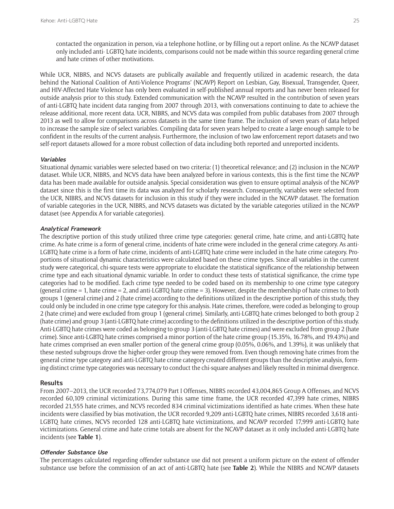contacted the organization in person, via a telephone hotline, or by filling out a report online. As the NCAVP dataset only included anti- LGBTQ hate incidents, comparisons could not be made within this source regarding general crime and hate crimes of other motivations.

While UCR, NIBRS, and NCVS datasets are publically available and frequently utilized in academic research, the data behind the National Coalition of Anti-Violence Programs' (NCAVP) Report on Lesbian, Gay, Bisexual, Transgender, Queer, and HIV-Affected Hate Violence has only been evaluated in self-published annual reports and has never been released for outside analysis prior to this study. Extended communication with the NCAVP resulted in the contribution of seven years of anti-LGBTQ hate incident data ranging from 2007 through 2013, with conversations continuing to date to achieve the release additional, more recent data. UCR, NIBRS, and NCVS data was compiled from public databases from 2007 through 2013 as well to allow for comparisons across datasets in the same time frame. The inclusion of seven years of data helped to increase the sample size of select variables. Compiling data for seven years helped to create a large enough sample to be confident in the results of the current analysis. Furthermore, the inclusion of two law enforcement report datasets and two self-report datasets allowed for a more robust collection of data including both reported and unreported incidents.

#### **Variables**

Situational dynamic variables were selected based on two criteria: (1) theoretical relevance; and (2) inclusion in the NCAVP dataset. While UCR, NIBRS, and NCVS data have been analyzed before in various contexts, this is the first time the NCAVP data has been made available for outside analysis. Special consideration was given to ensure optimal analysis of the NCAVP dataset since this is the first time its data was analyzed for scholarly research. Consequently, variables were selected from the UCR, NIBRS, and NCVS datasets for inclusion in this study if they were included in the NCAVP dataset. The formation of variable categories in the UCR, NIBRS, and NCVS datasets was dictated by the variable categories utilized in the NCAVP dataset (see Appendix A for variable categories).

#### **Analytical Framework**

The descriptive portion of this study utilized three crime type categories: general crime, hate crime, and anti-LGBTQ hate crime. As hate crime is a form of general crime, incidents of hate crime were included in the general crime category. As anti-LGBTQ hate crime is a form of hate crime, incidents of anti-LGBTQ hate crime were included in the hate crime category. Proportions of situational dynamic characteristics were calculated based on these crime types. Since all variables in the current study were categorical, chi-square tests were appropriate to elucidate the statistical significance of the relationship between crime type and each situational dynamic variable. In order to conduct these tests of statistical significance, the crime type categories had to be modified. Each crime type needed to be coded based on its membership to one crime type category (general crime  $= 1$ , hate crime  $= 2$ , and anti-LGBTQ hate crime  $= 3$ ). However, despite the membership of hate crimes to both groups 1 (general crime) and 2 (hate crime) according to the definitions utilized in the descriptive portion of this study, they could only be included in one crime type category for this analysis. Hate crimes, therefore, were coded as belonging to group 2 (hate crime) and were excluded from group 1 (general crime). Similarly, anti-LGBTQ hate crimes belonged to both group 2 (hate crime) and group 3 (anti-LGBTQ hate crime) according to the definitions utilized in the descriptive portion of this study. Anti-LGBTQ hate crimes were coded as belonging to group 3 (anti-LGBTQ hate crimes) and were excluded from group 2 (hate crime). Since anti-LGBTQ hate crimes comprised a minor portion of the hate crime group (15.35%, 16.78%, and 19.43%) and hate crimes comprised an even smaller portion of the general crime group (0.05%, 0.06%, and 1.39%), it was unlikely that these nested subgroups drove the higher-order group they were removed from. Even though removing hate crimes from the general crime type category and anti-LGBTQ hate crime category created different groups than the descriptive analysis, forming distinct crime type categories was necessary to conduct the chi-square analyses and likely resulted in minimal divergence.

#### **Results**

From 2007–2013, the UCR recorded 73,774,079 Part I Offenses, NIBRS recorded 43,004,865 Group A Offenses, and NCVS recorded 60,109 criminal victimizations. During this same time frame, the UCR recorded 47,399 hate crimes, NIBRS recorded 21,555 hate crimes, and NCVS recorded 834 criminal victimizations identified as hate crimes. When these hate incidents were classified by bias motivation, the UCR recorded 9,209 anti-LGBTQ hate crimes, NIBRS recorded 3,618 anti-LGBTQ hate crimes, NCVS recorded 128 anti-LGBTQ hate victimizations, and NCAVP recorded 17,999 anti-LGBTQ hate victimizations. General crime and hate crime totals are absent for the NCAVP dataset as it only included anti-LGBTQ hate incidents (see **Table 1**).

## **Offender Substance Use**

The percentages calculated regarding offender substance use did not present a uniform picture on the extent of offender substance use before the commission of an act of anti-LGBTQ hate (see **Table 2**). While the NIBRS and NCAVP datasets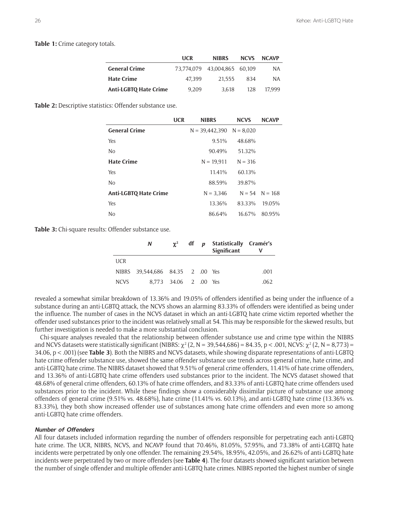**Table 1:** Crime category totals.

|                              | <b>UCR</b> | <b>NIBRS</b>                 | <b>NCVS</b> | <b>NCAVP</b> |
|------------------------------|------------|------------------------------|-------------|--------------|
| <b>General Crime</b>         |            | 73,774,079 43,004,865 60,109 |             | NA.          |
| <b>Hate Crime</b>            | 47.399     | 21.555                       | 834         | NA.          |
| <b>Anti-LGBTO Hate Crime</b> | 9.209      | 3.618                        | 128         | 17.999       |

**Table 2:** Descriptive statistics: Offender substance use.

|                              | <b>UCR</b> | <b>NIBRS</b>                 | <b>NCVS</b> | <b>NCAVP</b>       |
|------------------------------|------------|------------------------------|-------------|--------------------|
| <b>General Crime</b>         |            | $N = 39,442,390$ $N = 8,020$ |             |                    |
| Yes                          |            | 9.51%                        | 48.68%      |                    |
| N <sub>0</sub>               |            | 90.49%                       | 51.32%      |                    |
| <b>Hate Crime</b>            |            | $N = 19,911$                 | $N = 316$   |                    |
| Yes                          |            | 11.41%                       | 60.13%      |                    |
| N <sub>0</sub>               |            | 88.59%                       | 39.87%      |                    |
| <b>Anti-LGBTQ Hate Crime</b> |            | $N = 3.346$                  |             | $N = 54$ $N = 168$ |
| Yes                          |            | 13.36%                       | 83.33%      | 19.05%             |
| N <sub>o</sub>               |            | 86.64%                       | 16.67%      | 80.95%             |

**Table 3:** Chi-square results: Offender substance use.

|             | N                                |                       |  | $\chi^2$ df p Statistically Cramér's<br>Significant |      |
|-------------|----------------------------------|-----------------------|--|-----------------------------------------------------|------|
| <b>UCR</b>  |                                  |                       |  |                                                     |      |
|             | NIBRS 39,544,686 84.35 2 .00 Yes |                       |  |                                                     | .001 |
| <b>NCVS</b> |                                  | 8,773 34.06 2 .00 Yes |  |                                                     | .062 |

revealed a somewhat similar breakdown of 13.36% and 19.05% of offenders identified as being under the influence of a substance during an anti-LGBTQ attack, the NCVS shows an alarming 83.33% of offenders were identified as being under the influence. The number of cases in the NCVS dataset in which an anti-LGBTQ hate crime victim reported whether the offender used substances prior to the incident was relatively small at 54. This may be responsible for the skewed results, but further investigation is needed to make a more substantial conclusion.

Chi-square analyses revealed that the relationship between offender substance use and crime type within the NIBRS and NCVS datasets were statistically significant (NIBRS:  $\chi^2$  (2, N = 39,544,686) = 84.35, p < .001, NCVS:  $\chi^2$  (2, N = 8,773) = 34.06, p < .001) (see **Table 3**). Both the NIBRS and NCVS datasets, while showing disparate representations of anti-LGBTQ hate crime offender substance use, showed the same offender substance use trends across general crime, hate crime, and anti-LGBTQ hate crime. The NIBRS dataset showed that 9.51% of general crime offenders, 11.41% of hate crime offenders, and 13.36% of anti-LGBTQ hate crime offenders used substances prior to the incident. The NCVS dataset showed that 48.68% of general crime offenders, 60.13% of hate crime offenders, and 83.33% of anti-LGBTQ hate crime offenders used substances prior to the incident. While these findings show a considerably dissimilar picture of substance use among offenders of general crime (9.51% vs. 48.68%), hate crime (11.41% vs. 60.13%), and anti-LGBTQ hate crime (13.36% vs. 83.33%), they both show increased offender use of substances among hate crime offenders and even more so among anti-LGBTQ hate crime offenders.

#### **Number of Offenders**

All four datasets included information regarding the number of offenders responsible for perpetrating each anti-LGBTQ hate crime. The UCR, NIBRS, NCVS, and NCAVP found that 70.46%, 81.05%, 57.95%, and 73.38% of anti-LGBTQ hate incidents were perpetrated by only one offender. The remaining 29.54%, 18.95%, 42.05%, and 26.62% of anti-LGBTQ hate incidents were perpetrated by two or more offenders (see **Table 4**). The four datasets showed significant variation between the number of single offender and multiple offender anti-LGBTQ hate crimes. NIBRS reported the highest number of single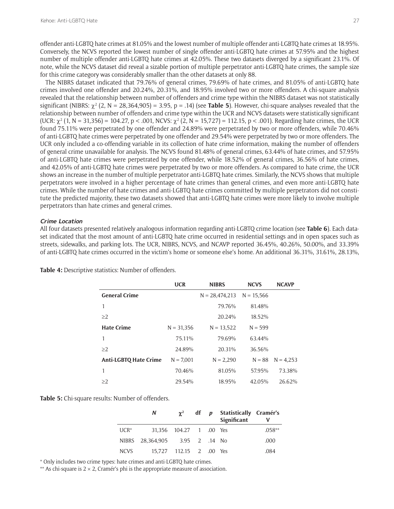offender anti-LGBTQ hate crimes at 81.05% and the lowest number of multiple offender anti-LGBTQ hate crimes at 18.95%. Conversely, the NCVS reported the lowest number of single offender anti-LGBTQ hate crimes at 57.95% and the highest number of multiple offender anti-LGBTQ hate crimes at 42.05%. These two datasets diverged by a significant 23.1%. Of note, while the NCVS dataset did reveal a sizable portion of multiple perpetrator anti-LGBTQ hate crimes, the sample size for this crime category was considerably smaller than the other datasets at only 88.

The NIBRS dataset indicated that 79.76% of general crimes, 79.69% of hate crimes, and 81.05% of anti-LGBTQ hate crimes involved one offender and 20.24%, 20.31%, and 18.95% involved two or more offenders. A chi-square analysis revealed that the relationship between number of offenders and crime type within the NIBRS dataset was not statistically significant (NIBRS:  $\chi^2$  (2, N = 28,364,905) = 3.95, p = .14) (see **Table 5**). However, chi-square analyses revealed that the relationship between number of offenders and crime type within the UCR and NCVS datasets were statistically significant (UCR:  $\chi^2$  (1, N = 31,356) = 104.27, p < .001, NCVS:  $\chi^2$  (2, N = 15,727) = 112.15, p < .001). Regarding hate crimes, the UCR found 75.11% were perpetrated by one offender and 24.89% were perpetrated by two or more offenders, while 70.46% of anti-LGBTQ hate crimes were perpetrated by one offender and 29.54% were perpetrated by two or more offenders. The UCR only included a co-offending variable in its collection of hate crime information, making the number of offenders of general crime unavailable for analysis. The NCVS found 81.48% of general crimes, 63.44% of hate crimes, and 57.95% of anti-LGBTQ hate crimes were perpetrated by one offender, while 18.52% of general crimes, 36.56% of hate crimes, and 42.05% of anti-LGBTQ hate crimes were perpetrated by two or more offenders. As compared to hate crime, the UCR shows an increase in the number of multiple perpetrator anti-LGBTQ hate crimes. Similarly, the NCVS shows that multiple perpetrators were involved in a higher percentage of hate crimes than general crimes, and even more anti-LGBTQ hate crimes. While the number of hate crimes and anti-LGBTQ hate crimes committed by multiple perpetrators did not constitute the predicted majority, these two datasets showed that anti-LGBTQ hate crimes were more likely to involve multiple perpetrators than hate crimes and general crimes.

#### **Crime Location**

All four datasets presented relatively analogous information regarding anti-LGBTQ crime location (see **Table 6**). Each dataset indicated that the most amount of anti-LGBTQ hate crime occurred in residential settings and in open spaces such as streets, sidewalks, and parking lots. The UCR, NIBRS, NCVS, and NCAVP reported 36.45%, 40.26%, 50.00%, and 33.39% of anti-LGBTQ hate crimes occurred in the victim's home or someone else's home. An additional 36.31%, 31.61%, 28.13%,

|                              | <b>UCR</b>   | <b>NIBRS</b>                  | <b>NCVS</b> | <b>NCAVP</b> |
|------------------------------|--------------|-------------------------------|-------------|--------------|
| <b>General Crime</b>         |              | $N = 28,474,213$ $N = 15,566$ |             |              |
| 1                            |              | 79.76%                        | 81.48%      |              |
| $\geq$ 2                     |              | 20.24%                        | 18.52%      |              |
| <b>Hate Crime</b>            | $N = 31,356$ | $N = 13,522$                  | $N = 599$   |              |
| 1                            | 75.11%       | 79.69%                        | 63.44%      |              |
| >2                           | 24.89%       | 20.31%                        | 36.56%      |              |
| <b>Anti-LGBTQ Hate Crime</b> | $N = 7,001$  | $N = 2,290$                   | $N = 88$    | $N = 4.253$  |
| 1                            | 70.46%       | 81.05%                        | 57.95%      | 73.38%       |
| >2                           | 29.54%       | 18.95%                        | 42.05%      | 26.62%       |

**Table 4:** Descriptive statistics: Number of offenders.

**Table 5:** Chi-square results: Number of offenders.

|                  | N                              |                         |  | $\chi^2$ df p Statistically Cramér's<br>Significant |          |
|------------------|--------------------------------|-------------------------|--|-----------------------------------------------------|----------|
| $\mathsf{UCR}^*$ |                                | 31.356 104.27 1 .00 Yes |  |                                                     | $.058**$ |
|                  | NIBRS 28,364,905 3.95 2 .14 No |                         |  |                                                     | .000     |
| <b>NCVS</b>      |                                | 15.727 112.15 2 .00 Yes |  |                                                     | .084     |

\* Only includes two crime types: hate crimes and anti-LGBTQ hate crimes.

\*\* As chi-square is  $2 \times 2$ , Cramér's phi is the appropriate measure of association.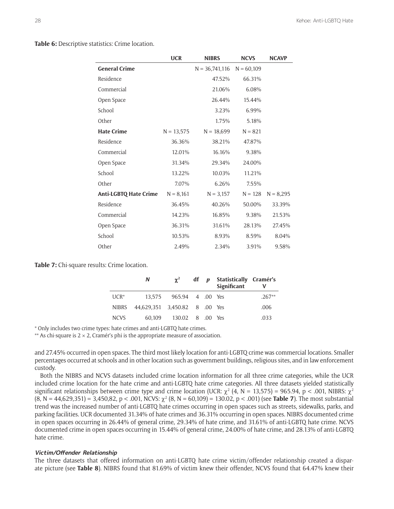**Table 6:** Descriptive statistics: Crime location.

|                       | <b>UCR</b>   | <b>NIBRS</b>     | <b>NCVS</b>  | <b>NCAVP</b> |
|-----------------------|--------------|------------------|--------------|--------------|
| <b>General Crime</b>  |              | $N = 36,741,116$ | $N = 60,109$ |              |
| Residence             |              | 47.52%           | 66.31%       |              |
| Commercial            |              | 21.06%           | 6.08%        |              |
| Open Space            |              | 26.44%           | 15.44%       |              |
| School                |              | 3.23%            | 6.99%        |              |
| Other                 |              | 1.75%            | 5.18%        |              |
| <b>Hate Crime</b>     | $N = 13,575$ | $N = 18,699$     | $N = 821$    |              |
| Residence             | 36.36%       | 38.21%           | 47.87%       |              |
| Commercial            | 12.01%       | 16.16%           | 9.38%        |              |
| Open Space            | 31.34%       | 29.34%           | 24.00%       |              |
| School                | 13.22%       | 10.03%           | 11.21%       |              |
| Other                 | 7.07%        | 6.26%            | 7.55%        |              |
| Anti-LGBTQ Hate Crime | $N = 8,161$  | $N = 3,157$      | $N = 128$    | $N = 8,295$  |
| Residence             | 36.45%       | 40.26%           | 50.00%       | 33.39%       |
| Commercial            | 14.23%       | 16.85%           | 9.38%        | 21.53%       |
| Open Space            | 36.31%       | 31.61%           | 28.13%       | 27.45%       |
| School                | 10.53%       | 8.93%            | 8.59%        | 8.04%        |
| Other                 | 2.49%        | 2.34%            | 3.91%        | 9.58%        |

**Table 7:** Chi-square results: Crime location.

|             | N                             | $\chi^2$                |  | df p Statistically Cramér's<br>Significant |          |
|-------------|-------------------------------|-------------------------|--|--------------------------------------------|----------|
| $UCR^*$     |                               | 13.575 965.94 4 .00 Yes |  |                                            | $.267**$ |
| NIBRS       | 44,629,351 3,450.82 8 .00 Yes |                         |  |                                            | .006     |
| <b>NCVS</b> | 60.109                        | 130.02 8 .00            |  | <b>Yes</b>                                 | .033     |

\* Only includes two crime types: hate crimes and anti-LGBTQ hate crimes.

\*\* As chi-square is  $2 \times 2$ , Cramér's phi is the appropriate measure of association.

and 27.45% occurred in open spaces. The third most likely location for anti-LGBTQ crime was commercial locations. Smaller percentages occurred at schools and in other location such as government buildings, religious sites, and in law enforcement custody.

Both the NIBRS and NCVS datasets included crime location information for all three crime categories, while the UCR included crime location for the hate crime and anti-LGBTQ hate crime categories. All three datasets yielded statistically significant relationships between crime type and crime location (UCR:  $\chi^2$  (4, N = 13,575) = 965.94, p < .001, NIBRS:  $\chi^2$  $(8, N = 44,629,351) = 3,450,82, p < .001, NCVs: \chi^2 (8, N = 60,109) = 130.02, p < .001)$  (see **Table 7**). The most substantial trend was the increased number of anti-LGBTQ hate crimes occurring in open spaces such as streets, sidewalks, parks, and parking facilities. UCR documented 31.34% of hate crimes and 36.31% occurring in open spaces. NIBRS documented crime in open spaces occurring in 26.44% of general crime, 29.34% of hate crime, and 31.61% of anti-LGBTQ hate crime. NCVS documented crime in open spaces occurring in 15.44% of general crime, 24.00% of hate crime, and 28.13% of anti-LGBTQ hate crime.

#### **Victim/Offender Relationship**

The three datasets that offered information on anti-LGBTQ hate crime victim/offender relationship created a disparate picture (see **Table 8**). NIBRS found that 81.69% of victim knew their offender, NCVS found that 64.47% knew their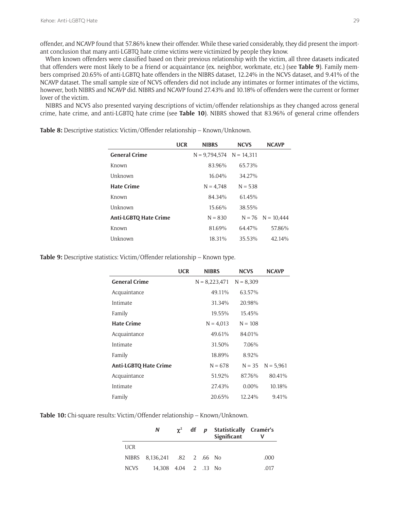offender, and NCAVP found that 57.86% knew their offender. While these varied considerably, they did present the important conclusion that many anti-LGBTQ hate crime victims were victimized by people they know.

When known offenders were classified based on their previous relationship with the victim, all three datasets indicated that offenders were most likely to be a friend or acquaintance (ex. neighbor, workmate, etc.) (see **Table 9**). Family members comprised 20.65% of anti-LGBTQ hate offenders in the NIBRS dataset, 12.24% in the NCVS dataset, and 9.41% of the NCAVP dataset. The small sample size of NCVS offenders did not include any intimates or former intimates of the victims, however, both NIBRS and NCAVP did. NIBRS and NCAVP found 27.43% and 10.18% of offenders were the current or former lover of the victim.

NIBRS and NCVS also presented varying descriptions of victim/offender relationships as they changed across general crime, hate crime, and anti-LGBTQ hate crime (see **Table 10**). NIBRS showed that 83.96% of general crime offenders

> **UCR NIBRS NCVS NCAVP General Crime**  $N = 9,794,574$   $N = 14,311$ Known 83.96% 65.73% Unknown 16.04% 34.27% **Hate Crime**  $N = 4,748$   $N = 538$ Known 84.34% 61.45% Unknown 15.66% 38.55% **Anti-LGBTQ Hate Crime**  $N = 830$   $N = 76$   $N = 10,444$ Known 81.69% 64.47% 57.86% Unknown 18.31% 35.53% 42.14%

**Table 8:** Descriptive statistics: Victim/Offender relationship – Known/Unknown.

**Table 9:** Descriptive statistics: Victim/Offender relationship – Known type.

|                              | <b>UCR</b> | <b>NIBRS</b>    | <b>NCVS</b> | <b>NCAVP</b> |
|------------------------------|------------|-----------------|-------------|--------------|
| <b>General Crime</b>         |            | $N = 8,223,471$ | $N = 8,309$ |              |
| Acquaintance                 |            | 49.11%          | 63.57%      |              |
| Intimate                     |            | 31.34%          | 20.98%      |              |
| Family                       |            | 19.55%          | 15.45%      |              |
| <b>Hate Crime</b>            |            | $N = 4.013$     | $N = 108$   |              |
| Acquaintance                 |            | 49.61%          | 84.01%      |              |
| Intimate                     |            | 31.50%          | 7.06%       |              |
| Family                       |            | 18.89%          | 8.92%       |              |
| <b>Anti-LGBTQ Hate Crime</b> |            | $N = 678$       | $N = 35$    | $N = 5,961$  |
| Acquaintance                 |            | 51.92%          | 87.76%      | 80.41%       |
| Intimate                     |            | 27.43%          | $0.00\%$    | 10.18%       |
| Family                       |            | 20.65%          | 12.24%      | 9.41%        |

**Table 10:** Chi-square results: Victim/Offender relationship – Known/Unknown.

|            | N —                          |  | $\gamma^2$ df p Statistically Cramér's<br>Significant |      |
|------------|------------------------------|--|-------------------------------------------------------|------|
| <b>UCR</b> |                              |  |                                                       |      |
|            | NIBRS 8,136,241 .82 2 .66 No |  |                                                       | .000 |
| NCVS       | 14,308 4.04 2 .13 No         |  |                                                       | .017 |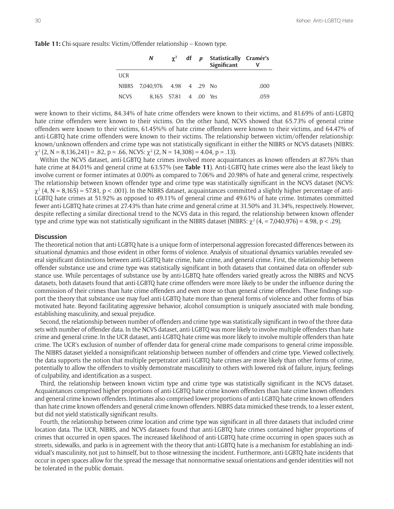**Table 11:** Chi-square results: Victim/Offender relationship – Known type.

|             | N                             |                       |  | $\chi^2$ df p Statistically Cramér's<br>Significant |      |
|-------------|-------------------------------|-----------------------|--|-----------------------------------------------------|------|
| <b>UCR</b>  |                               |                       |  |                                                     |      |
|             | NIBRS 7,040,976 4.98 4 .29 No |                       |  |                                                     | .000 |
| <b>NCVS</b> |                               | 8,165 57.81 4 .00 Yes |  |                                                     | .059 |

were known to their victims, 84.34% of hate crime offenders were known to their victims, and 81.69% of anti-LGBTQ hate crime offenders were known to their victims. On the other hand, NCVS showed that 65.73% of general crime offenders were known to their victims, 61.45%% of hate crime offenders were known to their victims, and 64.47% of anti-LGBTQ hate crime offenders were known to their victims. The relationship between victim/offender relationship: known/unknown offenders and crime type was not statistically significant in either the NIBRS or NCVS datasets (NIBRS:  $\chi^2$  (2, N = 8,136,241) = .82, p = .66, NCVS:  $\chi^2$  (2, N = 14,308) = 4.04, p = .13).

Within the NCVS dataset, anti-LGBTQ hate crimes involved more acquaintances as known offenders at 87.76% than hate crime at 84.01% and general crime at 63.57% (see **Table 11**). Anti-LGBTQ hate crimes were also the least likely to involve current or former intimates at 0.00% as compared to 7.06% and 20.98% of hate and general crime, respectively. The relationship between known offender type and crime type was statistically significant in the NCVS dataset (NCVS:  $\chi^2$  (4, N = 8,165) = 57.81, p < .001). In the NIBRS dataset, acquaintances committed a slightly higher percentage of anti-LGBTQ hate crimes at 51.92% as opposed to 49.11% of general crime and 49.61% of hate crime. Intimates committed fewer anti-LGBTQ hate crimes at 27.43% than hate crime and general crime at 31.50% and 31.34%, respectively. However, despite reflecting a similar directional trend to the NCVS data in this regard, the relationship between known offender type and crime type was not statistically significant in the NIBRS dataset (NIBRS:  $\chi^2$  (4, = 7,040,976) = 4.98, p < .29).

# **Discussion**

The theoretical notion that anti-LGBTQ hate is a unique form of interpersonal aggression forecasted differences between its situational dynamics and those evident in other forms of violence. Analysis of situational dynamics variables revealed several significant distinctions between anti-LGBTQ hate crime, hate crime, and general crime. First, the relationship between offender substance use and crime type was statistically significant in both datasets that contained data on offender substance use. While percentages of substance use by anti-LGBTQ hate offenders varied greatly across the NIBRS and NCVS datasets, both datasets found that anti-LGBTQ hate crime offenders were more likely to be under the influence during the commission of their crimes than hate crime offenders and even more so than general crime offenders. These findings support the theory that substance use may fuel anti-LGBTQ hate more than general forms of violence and other forms of bias motivated hate. Beyond facilitating aggressive behavior, alcohol consumption is uniquely associated with male bonding, establishing masculinity, and sexual prejudice.

Second, the relationship between number of offenders and crime type was statistically significant in two of the three datasets with number of offender data. In the NCVS dataset, anti-LGBTQ was more likely to involve multiple offenders than hate crime and general crime. In the UCR dataset, anti-LGBTQ hate crime was more likely to involve multiple offenders than hate crime. The UCR's exclusion of number of offender data for general crime made comparisons to general crime impossible. The NIBRS dataset yielded a nonsignificant relationship between number of offenders and crime type. Viewed collectively, the data supports the notion that multiple perpetrator anti-LGBTQ hate crimes are more likely than other forms of crime, potentially to allow the offenders to visibly demonstrate masculinity to others with lowered risk of failure, injury, feelings of culpability, and identification as a suspect.

Third, the relationship between known victim type and crime type was statistically significant in the NCVS dataset. Acquaintances comprised higher proportions of anti-LGBTQ hate crime known offenders than hate crime known offenders and general crime known offenders. Intimates also comprised lower proportions of anti-LGBTQ hate crime known offenders than hate crime known offenders and general crime known offenders. NIBRS data mimicked these trends, to a lesser extent, but did not yield statistically significant results.

Fourth, the relationship between crime location and crime type was significant in all three datasets that included crime location data. The UCR, NIBRS, and NCVS datasets found that anti-LGBTQ hate crimes contained higher proportions of crimes that occurred in open spaces. The increased likelihood of anti-LGBTQ hate crime occurring in open spaces such as streets, sidewalks, and parks is in agreement with the theory that anti-LGBTQ hate is a mechanism for establishing an individual's masculinity, not just to himself, but to those witnessing the incident. Furthermore, anti-LGBTQ hate incidents that occur in open spaces allow for the spread the message that nonnormative sexual orientations and gender identities will not be tolerated in the public domain.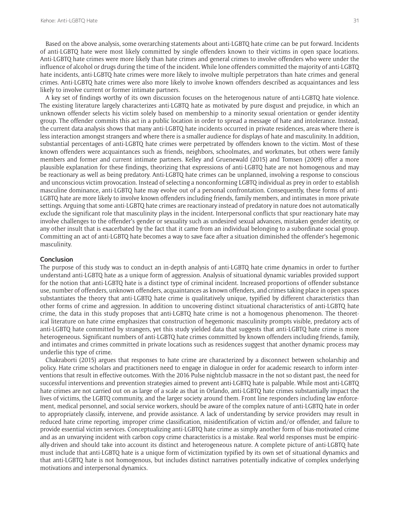Based on the above analysis, some overarching statements about anti-LGBTQ hate crime can be put forward. Incidents of anti-LGBTQ hate were most likely committed by single offenders known to their victims in open space locations. Anti-LGBTQ hate crimes were more likely than hate crimes and general crimes to involve offenders who were under the influence of alcohol or drugs during the time of the incident. While lone offenders committed the majority of anti-LGBTQ hate incidents, anti-LGBTQ hate crimes were more likely to involve multiple perpetrators than hate crimes and general crimes. Anti-LGBTQ hate crimes were also more likely to involve known offenders described as acquaintances and less likely to involve current or former intimate partners.

A key set of findings worthy of its own discussion focuses on the heterogenous nature of anti-LGBTQ hate violence. The existing literature largely characterizes anti-LGBTQ hate as motivated by pure disgust and prejudice, in which an unknown offender selects his victim solely based on membership to a minority sexual orientation or gender identity group. The offender commits this act in a public location in order to spread a message of hate and intolerance. Instead, the current data analysis shows that many anti-LGBTQ hate incidents occurred in private residences, areas where there is less interaction amongst strangers and where there is a smaller audience for displays of hate and masculinity. In addition, substantial percentages of anti-LGBTQ hate crimes were perpetrated by offenders known to the victim. Most of these known offenders were acquaintances such as friends, neighbors, schoolmates, and workmates, but others were family members and former and current intimate partners. Kelley and Gruenewald (2015) and Tomsen (2009) offer a more plausible explanation for these findings, theorizing that expressions of anti-LGBTQ hate are not homogenous and may be reactionary as well as being predatory. Anti-LGBTQ hate crimes can be unplanned, involving a response to conscious and unconscious victim provocation. Instead of selecting a nonconforming LGBTQ individual as prey in order to establish masculine dominance, anti-LGBTQ hate may evolve out of a personal confrontation. Consequently, these forms of anti-LGBTQ hate are more likely to involve known offenders including friends, family members, and intimates in more private settings. Arguing that some anti-LGBTQ hate crimes are reactionary instead of predatory in nature does not automatically exclude the significant role that masculinity plays in the incident. Interpersonal conflicts that spur reactionary hate may involve challenges to the offender's gender or sexuality such as undesired sexual advances, mistaken gender identity, or any other insult that is exacerbated by the fact that it came from an individual belonging to a subordinate social group. Committing an act of anti-LGBTQ hate becomes a way to save face after a situation diminished the offender's hegemonic masculinity.

#### **Conclusion**

The purpose of this study was to conduct an in-depth analysis of anti-LGBTQ hate crime dynamics in order to further understand anti-LGBTQ hate as a unique form of aggression. Analysis of situational dynamic variables provided support for the notion that anti-LGBTQ hate is a distinct type of criminal incident. Increased proportions of offender substance use, number of offenders, unknown offenders, acquaintances as known offenders, and crimes taking place in open spaces substantiates the theory that anti-LGBTQ hate crime is qualitatively unique, typified by different characteristics than other forms of crime and aggression. In addition to uncovering distinct situational characteristics of anti-LGBTQ hate crime, the data in this study proposes that anti-LGBTQ hate crime is not a homogenous phenomenon. The theoretical literature on hate crime emphasizes that construction of hegemonic masculinity prompts visible, predatory acts of anti-LGBTQ hate committed by strangers, yet this study yielded data that suggests that anti-LGBTQ hate crime is more heterogeneous. Significant numbers of anti-LGBTQ hate crimes committed by known offenders including friends, family, and intimates and crimes committed in private locations such as residences suggest that another dynamic process may underlie this type of crime.

Chakraborti (2015) argues that responses to hate crime are characterized by a disconnect between scholarship and policy. Hate crime scholars and practitioners need to engage in dialogue in order for academic research to inform interventions that result in effective outcomes. With the 2016 Pulse nightclub massacre in the not so distant past, the need for successful interventions and prevention strategies aimed to prevent anti-LGBTQ hate is palpable. While most anti-LGBTQ hate crimes are not carried out on as large of a scale as that in Orlando, anti-LGBTQ hate crimes substantially impact the lives of victims, the LGBTQ community, and the larger society around them. Front line responders including law enforcement, medical personnel, and social service workers, should be aware of the complex nature of anti-LGBTQ hate in order to appropriately classify, intervene, and provide assistance. A lack of understanding by service providers may result in reduced hate crime reporting, improper crime classification, misidentification of victim and/or offender, and failure to provide essential victim services. Conceptualizing anti-LGBTQ hate crime as simply another form of bias-motivated crime and as an unvarying incident with carbon copy crime characteristics is a mistake. Real world responses must be empirically-driven and should take into account its distinct and heterogeneous nature. A complete picture of anti-LGBTQ hate must include that anti-LGBTQ hate is a unique form of victimization typified by its own set of situational dynamics and that anti-LGBTQ hate is not homogenous, but includes distinct narratives potentially indicative of complex underlying motivations and interpersonal dynamics.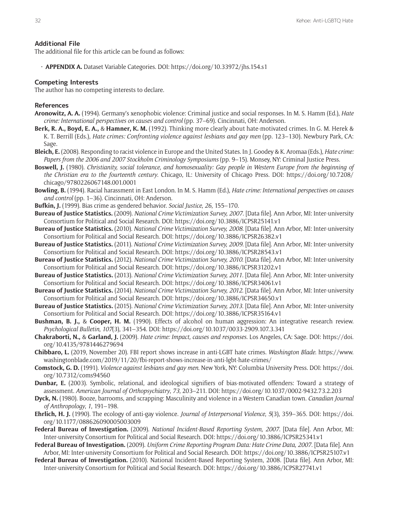#### **Additional File**

The additional file for this article can be found as follows:

• **APPENDIX A.** Dataset Variable Categories. DOI: <https://doi.org/10.33972/jhs.154.s1>

### **Competing Interests**

The author has no competing interests to declare.

## **References**

- **Aronowitz, A. A.** (1994). Germany's xenophobic violence: Criminal justice and social responses. In M. S. Hamm (Ed.), *Hate crime: International perspectives on causes and control* (pp. 37–69). Cincinnati, OH: Anderson.
- **Berk, R. A., Boyd, E. A.,** & **Hamner, K. M.** (1992). Thinking more clearly about hate-motivated crimes. In G. M. Herek & K. T. Berrill (Eds.), *Hate crimes: Confronting violence against lesbians and gay men* (pp. 123–130). Newbury Park, CA: Sage.
- **Bleich, E.** (2008). Responding to racist violence in Europe and the United States. In J. Goodey & K. Aromaa (Eds.), *Hate crime: Papers from the 2006 and 2007 Stockholm Criminology Symposiums* (pp. 9–15). Monsey, NY: Criminal Justice Press.
- **Boswell, J.** (1980). *Christianity, social tolerance, and homosexuality: Gay people in Western Europe from the beginning of the Christian era to the fourteenth century*. Chicago, IL: University of Chicago Press. DOI: [https://doi.org/10.7208/](https://doi.org/10.7208/chicago/9780226067148.001.0001) [chicago/9780226067148.001.0001](https://doi.org/10.7208/chicago/9780226067148.001.0001)
- **Bowling, B.** (1994). Racial harassment in East London. In M. S. Hamm (Ed.), *Hate crime: International perspectives on causes and control* (pp. 1–36). Cincinnati, OH: Anderson.
- **Bufkin, J.** (1999). Bias crime as gendered behavior. *Social Justice*, *26*, 155–170.
- **Bureau of Justice Statistics.** (2009). *National Crime Victimization Survey, 2007*. [Data file]. Ann Arbor, MI: Inter-university Consortium for Political and Social Research. DOI:<https://doi.org/10.3886/ICPSR25141.v1>
- **Bureau of Justice Statistics.** (2010). *National Crime Victimization Survey, 2008*. [Data file]. Ann Arbor, MI: Inter-university Consortium for Political and Social Research. DOI:<https://doi.org/10.3886/ICPSR26382.v1>
- **Bureau of Justice Statistics.** (2011). *National Crime Victimization Survey, 2009*. [Data file]. Ann Arbor, MI: Inter-university Consortium for Political and Social Research. DOI:<https://doi.org/10.3886/ICPSR28543.v1>
- **Bureau of Justice Statistics.** (2012). *National Crime Victimization Survey, 2010*. [Data file]. Ann Arbor, MI: Inter-university Consortium for Political and Social Research. DOI:<https://doi.org/10.3886/ICPSR31202.v1>
- **Bureau of Justice Statistics.** (2013). *National Crime Victimization Survey, 2011*. [Data file]. Ann Arbor, MI: Inter-university Consortium for Political and Social Research. DOI:<https://doi.org/10.3886/ICPSR34061.v1>
- **Bureau of Justice Statistics.** (2014). *National Crime Victimization Survey, 2012*. [Data file]. Ann Arbor, MI: Inter-university Consortium for Political and Social Research. DOI:<https://doi.org/10.3886/ICPSR34650.v1>
- **Bureau of Justice Statistics.** (2015). *National Crime Victimization Survey, 2013*. [Data file]. Ann Arbor, MI: Inter-university Consortium for Political and Social Research. DOI:<https://doi.org/10.3886/ICPSR35164.v1>
- **Bushman, B. J.,** & **Cooper, H. M.** (1990). Effects of alcohol on human aggression: An integrative research review. *Psychological Bulletin*, *107*(3), 341–354. DOI:<https://doi.org/10.1037/0033-2909.107.3.341>
- **Chakraborti, N.,** & **Garland, J.** (2009). *Hate crime: Impact, causes and responses*. Los Angeles, CA: Sage. DOI: [https://doi.](https://doi.org/10.4135/9781446279694) [org/10.4135/9781446279694](https://doi.org/10.4135/9781446279694)
- **Chibbaro, L.** (2019, November 20). FBI report shows increase in anti-LGBT hate crimes. *Washington Blade*. [https://www.](https://www.washingtonblade.com/2019/11/20/fbi-report-shows-increase-in-anti-lgbt-hate-crimes/) [washingtonblade.com/2019/11/20/fbi-report-shows-increase-in-anti-lgbt-hate-crimes/](https://www.washingtonblade.com/2019/11/20/fbi-report-shows-increase-in-anti-lgbt-hate-crimes/)
- **Comstock, G. D.** (1991). *Violence against lesbians and gay men*. New York, NY: Columbia University Press. DOI: [https://doi.](https://doi.org/10.7312/coms94560) [org/10.7312/coms94560](https://doi.org/10.7312/coms94560)
- **Dunbar, E.** (2003). Symbolic, relational, and ideological signifiers of bias-motivated offenders: Toward a strategy of assessment. *American Journal of Orthopsychiatry*, *73*, 203–211. DOI:<https://doi.org/10.1037/0002-9432.73.2.203>
- **Dyck, N.** (1980). Booze, barrooms, and scrapping: Masculinity and violence in a Western Canadian town. *Canadian Journal of Anthropology*, *1*, 191–198.
- **Ehrlich, H. J.** (1990). The ecology of anti-gay violence. *Journal of Interpersonal Violence*, *5*(3), 359–365. DOI: [https://doi.](https://doi.org/10.1177/088626090005003009) [org/10.1177/088626090005003009](https://doi.org/10.1177/088626090005003009)
- **Federal Bureau of Investigation.** (2009). *National Incident-Based Reporting System, 2007*. [Data file]. Ann Arbor, MI: Inter-university Consortium for Political and Social Research. DOI: <https://doi.org/10.3886/ICPSR25341.v1>
- **Federal Bureau of Investigation.** (2009). *Uniform Crime Reporting Program Data: Hate Crime Data, 2007*. [Data file]. Ann Arbor, MI: Inter-university Consortium for Political and Social Research. DOI:<https://doi.org/10.3886/ICPSR25107.v1>
- **Federal Bureau of Investigation.** (2010). National Incident-Based Reporting System, 2008. [Data file]. Ann Arbor, MI: Inter-university Consortium for Political and Social Research. DOI: <https://doi.org/10.3886/ICPSR27741.v1>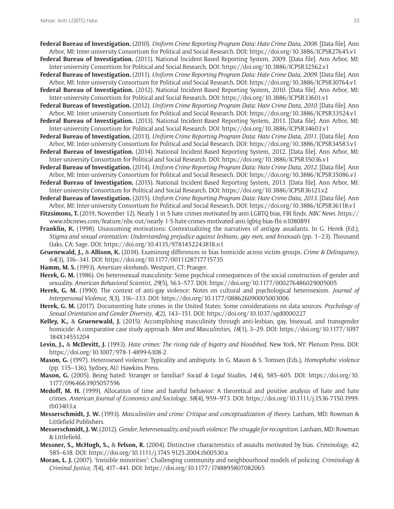- **Federal Bureau of Investigation.** (2010). *Uniform Crime Reporting Program Data: Hate Crime Data, 2008*. [Data file]. Ann Arbor, MI: Inter-university Consortium for Political and Social Research. DOI: <https://doi.org/10.3886/ICPSR27645.v1>
- **Federal Bureau of Investigation.** (2011). National Incident-Based Reporting System, 2009. [Data file]. Ann Arbor, MI: Inter-university Consortium for Political and Social Research. DOI:<https://doi.org/10.3886/ICPSR32562.v1>
- **Federal Bureau of Investigation.** (2011). *Uniform Crime Reporting Program Data: Hate Crime Data, 2009*. [Data file]. Ann Arbor, MI: Inter-university Consortium for Political and Social Research. DOI: <https://doi.org/10.3886/ICPSR30764.v1> **Federal Bureau of Investigation.** (2012). National Incident-Based Reporting System, 2010. [Data file]. Ann Arbor, MI:
- Inter-university Consortium for Political and Social Research. DOI:<https://doi.org/10.3886/ICPSR33601.v1>
- **Federal Bureau of Investigation.** (2012). *Uniform Crime Reporting Program Data: Hate Crime Data, 2010*. [Data file]. Ann Arbor, MI: Inter-university Consortium for Political and Social Research. DOI: <https://doi.org/10.3886/ICPSR33524.v1> **Federal Bureau of Investigation.** (2013). National Incident-Based Reporting System, 2011. [Data file]. Ann Arbor, MI:
- Inter-university Consortium for Political and Social Research. DOI:<https://doi.org/10.3886/ICPSR34603.v1>
- **Federal Bureau of Investigation.** (2013). *Uniform Crime Reporting Program Data: Hate Crime Data, 2011*. [Data file]. Ann Arbor, MI: Inter-university Consortium for Political and Social Research. DOI: <https://doi.org/10.3886/ICPSR34583.v1>
- **Federal Bureau of Investigation.** (2014). National Incident-Based Reporting System, 2012. [Data file]. Ann Arbor, MI: Inter-university Consortium for Political and Social Research. DOI:<https://doi.org/10.3886/ICPSR35036.v1>
- **Federal Bureau of Investigation.** (2014). *Uniform Crime Reporting Program Data: Hate Crime Data, 2012*. [Data file]. Ann Arbor, MI: Inter-university Consortium for Political and Social Research. DOI: <https://doi.org/10.3886/ICPSR35086.v1>
- **Federal Bureau of Investigation.** (2015). National Incident-Based Reporting System, 2013. [Data file]. Ann Arbor, MI: Inter-university Consortium for Political and Social Research. DOI:<https://doi.org/10.3886/ICPSR36121.v2>
- **Federal Bureau of Investigation.** (2015). *Uniform Crime Reporting Program Data: Hate Crime Data, 2013*. [Data file]. Ann Arbor, MI: Inter-university Consortium for Political and Social Research. DOI: <https://doi.org/10.3886/ICPSR36118.v1>
- **Fitzsimons, T.** (2019, November 12). Nearly 1 in 5 hate crimes motivated by anti-LGBTQ bias, FBI finds. *NBC News*. [https://](https://www.nbcnews.com/feature/nbc-out/nearly-1-5-hate-crimes-motivated-anti-lgbtq-bias-fbi-n1080891) [www.nbcnews.com/feature/nbc-out/nearly-1-5-hate-crimes-motivated-anti-lgbtq-bias-fbi-n1080891](https://www.nbcnews.com/feature/nbc-out/nearly-1-5-hate-crimes-motivated-anti-lgbtq-bias-fbi-n1080891)
- **Franklin, K.** (1998). Unassuming motivations: Contextualizing the narratives of antigay assailants. In G. Herek (Ed.), *Stigma and sexual orientation: Understanding prejudice against lesbians, gay men, and bisexuals* (pp. 1–23). Thousand Oaks, CA: Sage. DOI: <https://doi.org/10.4135/9781452243818.n1>
- **Gruenewald, J.,** & **Allison, K.** (2018). Examining differences in bias homicide across victim groups. *Crime & Delinquency*, *64*(3), 316–341. DOI: <https://doi.org/10.1177/0011128717715735>
- **Hamm, M. S.** (1993). *American skinheads*. Westport, CT: Praeger.
- **Herek, G. M.** (1986). On heterosexual masculinity: Some psychical consequences of the social construction of gender and sexuality. *American Behavioral Scientist*, *29*(5), 563–577. DOI: <https://doi.org/10.1177/000276486029005005>
- **Herek, G. M.** (1990). The context of anti-gay violence: Notes on cultural and psychological heterosexism. *Journal of Interpersonal Violence*, *5*(3), 316–333. DOI: <https://doi.org/10.1177/088626090005003006>
- **Herek, G. M.** (2017). Documenting hate crimes in the United States: Some considerations on data sources. *Psychology of Sexual Orientation and Gender Diversity*, *4*(2), 143–151. DOI:<https://doi.org/10.1037/sgd0000227>
- **Kelley, K.,** & **Gruenewald, J.** (2015). Accomplishing masculinity through anti-lesbian, gay, bisexual, and transgender homicide: A comparative case study approach. *Men and Masculinities*, *18*(1), 3–29. DOI: [https://doi.org/10.1177/1097](https://doi.org/10.1177/1097184X14551204) [184X14551204](https://doi.org/10.1177/1097184X14551204)
- **Levin, J.,** & **McDevitt, J.** (1993). *Hate crimes: The rising tide of bigotry and bloodshed*. New York, NY: Plenum Press. DOI: <https://doi.org/10.1007/978-1-4899-6108-2>
- **Mason, G.** (1997). Heterosexed violence: Typicality and ambiguity. In G. Mason & S. Tomsen (Eds.), *Homophobic violence* (pp. 115–136). Sydney, AU: Hawkins Press.
- **Mason, G.** (2005). Being hated: Stranger or familiar? *Social & Legal Studies*, *14*(4), 585–605. DOI: [https://doi.org/10.](https://doi.org/10.1177/0964663905057596) [1177/0964663905057596](https://doi.org/10.1177/0964663905057596)
- **Medoff, M. H.** (1999). Allocation of time and hateful behavior: A theoretical and positive analysis of hate and hate crimes. *American Journal of Economics and Sociology*, *58*(4), 959–973. DOI: [https://doi.org/10.1111/j.1536-7150.1999.](https://doi.org/10.1111/j.1536-7150.1999.tb03403.x) [tb03403.x](https://doi.org/10.1111/j.1536-7150.1999.tb03403.x)
- **Messerschmidt, J. W.** (1993). *Masculinities and crime: Critique and conceptualization of theory*. Lanham, MD: Rowman & Littlefield Publishers.
- **Messerschmidt, J. W.** (2012). *Gender, heterosexuality, and youth violence: The struggle for recognition*. Lanham, MD: Rowman & Littlefield.
- **Messner, S., McHugh, S.,** & **Felson, R.** (2004). Distinctive characteristics of assaults motivated by bias. *Criminology*, *42*, 585–618. DOI: <https://doi.org/10.1111/j.1745-9125.2004.tb00530.x>
- **Moran, L. J.** (2007). 'Invisible minorities': Challenging community and neighbourhood models of policing. *Criminology & Criminal Justice*, *7*(4), 417–441. DOI: <https://doi.org/10.1177/1748895807082065>